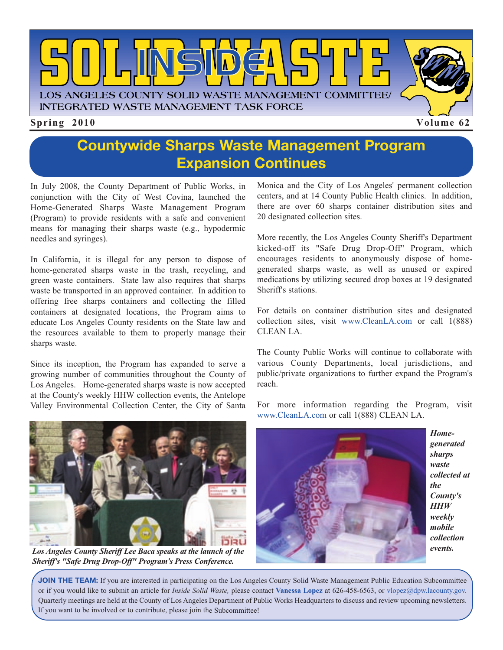

## **Countywide Sharps Waste Management Program Expansion Continues**

In July 2008, the County Department of Public Works, in conjunction with the City of West Covina, launched the Home-Generated Sharps Waste Management Program (Program) to provide residents with a safe and convenient means for managing their sharps waste (e.g., hypodermic needles and syringes).

In California, it is illegal for any person to dispose of home-generated sharps waste in the trash, recycling, and green waste containers. State law also requires that sharps waste be transported in an approved container. In addition to offering free sharps containers and collecting the filled containers at designated locations, the Program aims to educate Los Angeles County residents on the State law and the resources available to them to properly manage their sharps waste.

Since its inception, the Program has expanded to serve a growing number of communities throughout the County of Los Angeles. Home-generated sharps waste is now accepted at the County's weekly HHW collection events, the Antelope Valley Environmental Collection Center, the City of Santa Monica and the City of Los Angeles' permanent collection centers, and at 14 County Public Health clinics. In addition, there are over 60 sharps container distribution sites and 20 designated collection sites.

More recently, the Los Angeles County Sheriff's Department kicked-off its "Safe Drug Drop-Off" Program, which encourages residents to anonymously dispose of homegenerated sharps waste, as well as unused or expired medications by utilizing secured drop boxes at 19 designated Sheriff's stations.

For details on container distribution sites and designated collection sites, visit [www.CleanLA.com](http://dpw.lacounty.gov/epd/cleanla/) or call 1(888) CLEAN LA.

The County Public Works will continue to collaborate with various County Departments, local jurisdictions, and public/private organizations to further expand the Program's reach.

[For more information r](http://dpw.lacounty.gov/epd/hhw/sharps/index.cfm)egarding the Program, visit www.CleanLA.com or call 1(888) CLEAN LA.



*Los Angeles County Sheriff Lee Baca speaks at the launch of the Sheriff's "Safe Drug Drop-Off" Program's Press Conference.*



*Homegenerated sharps waste collected at the County's HHW weekly mobile collection events.*

**JOIN THE TEAM:** If you are interested in participating on the Los Angeles County Solid Waste Management Public Education Subcommittee or if you would like to submit an article for *Inside Solid Waste,* please contact **Vanessa Lopez** at 626-458-6563, or vlopez@dpw.lacounty.gov. Quarterly meetings are held at the County of Los Angeles Department of Public Works Headquarters to discuss and revie[w upcoming newsletters.](mailto://vlopez@dpw.lacounty.gov) If you want to be involved or to contribute, please join the Subcommittee!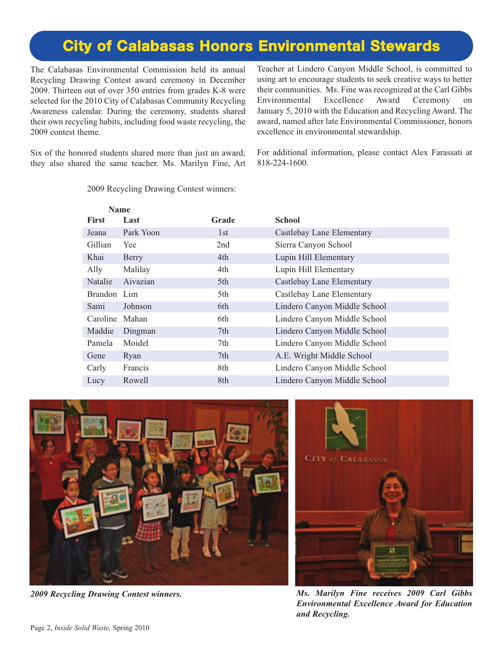## **[City of Calabasas Honors Environmental Stewards](http://www.cityofcalabasas.com/)**

The Calabasas Environmental Commission held its annual Recycling Drawing Contest award ceremony in December 2009. Thirteen out of over 350 entries from grades K-8 were selected for the 2010 City of Calabasas Community Recycling Awareness calendar. During the ceremony, students shared their own recycling habits, including food waste recycling, the 2009 contest theme.

Teacher at Lindero Canyon Middle School, is committed to using art to encourage students to seek creative ways to better their communities. Ms. Fine was recognized at the Carl Gibbs Environmental Excellence Award Ceremony on January 5, 2010 with the Education and Recycling Award. The award, named after late Environmental Commissioner, honors excellence in environmental stewardship.

Six of the honored students shared more than just an award; they also shared the same teacher. Ms. Marilyn Fine, Art For additional information, please contact Alex Farassati at 818-224-1600.

| Name           |           |       |                              |
|----------------|-----------|-------|------------------------------|
| <b>First</b>   | Last      | Grade | <b>School</b>                |
| Jeana          | Park Yoon | 1st   | Castlebay Lane Elementary    |
| Gillian        | Yee       | 2nd   | Sierra Canyon School         |
| Khai           | Berry     | 4th   | Lupin Hill Elementary        |
| Ally           | Malilay   | 4th   | Lupin Hill Elementary        |
| Natalie        | Aivazian  | 5th   | Castlebay Lane Elementary    |
| Brandon Lim    |           | 5th   | Castlebay Lane Elementary    |
| Sami           | Johnson   | 6th   | Lindero Canyon Middle School |
| Caroline Mahan |           | 6th   | Lindero Canyon Middle School |
| Maddie         | Dingman   | 7th   | Lindero Canyon Middle School |
| Pamela         | Moidel    | 7th   | Lindero Canyon Middle School |
| Gene           | Ryan      | 7th   | A.E. Wright Middle School    |
| Carly          | Francis   | 8th   | Lindero Canyon Middle School |
| Lucy           | Rowell    | 8th   | Lindero Canyon Middle School |

2009 Recycling Drawing Contest winners:





*2009 Recycling Drawing Contest winners. Ms. Marilyn Fine receives 2009 Carl Gibbs Environmental Excellence Award for Education and Recycling.*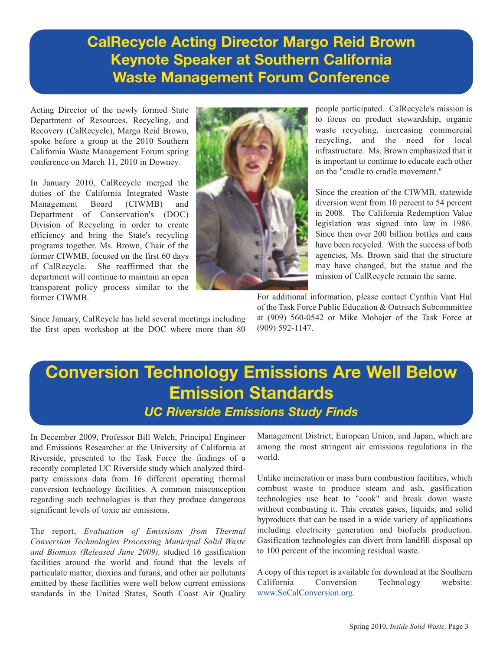## **CalRecycle Acting Director Margo Reid Brown Keynote Speaker at Southern California Waste Management Forum Conference**

Acting Director of the newly formed State Department of Resources, Recycling, and Recovery (CalRecycle), Margo Reid Brown, spoke before a group at the 2010 Southern California Waste Management Forum spring conference on March 11, 2010 in Downey.

In January 2010, CalRecycle merged the duties of the California Integrated Waste Management Board (CIWMB) and Department of Conservation's (DOC) Division of Recycling in order to create efficiency and bring the State's recycling programs together. Ms. Brown, Chair of the former CIWMB, focused on the first 60 days of CalRecycle. She reaffirmed that the department will continue to maintain an open transparent policy process similar to the former CIWMB.



people participated. CalRecycle's mission is to focus on product stewardship, organic waste recycling, increasing commercial recycling, and the need for local infrastructure. Ms. Brown emphasized that it is important to continue to educate each other on the "cradle to cradle movement."

Since the creation of the CIWMB, statewide diversion went from 10 percent to 54 percent in 2008. The California Redemption Value legislation was signed into law in 1986. Since then over 200 billion bottles and cans have been recycled. With the success of both agencies, Ms. Brown said that the structure may have changed, but the statue and the mission of CalRecycle remain the same.

Since January, CalReycle has held several meetings including the first open workshop at the DOC where more than 80 For additional information, please contact Cynthia Vant Hul of the Task Force Public Education & Outreach Subcommittee at (909) 560-0542 or Mike Mohajer of the Task Force at (909) 592-1147.

# **Conversion Technology Emissions Are Well Below Emission Standards** *UC Riverside Emissions Study Finds*

In December 2009, Professor Bill Welch, Principal Engineer and Emissions Researcher at the University of California at Riverside, presented to the Task Force the findings of a recently completed UC Riverside study which analyzed thirdparty emissions data from 16 different operating thermal conversion technology facilities. A common misconception regarding such technologies is that they produce dangerous significant levels of toxic air emissions.

The report, *Evaluation of Emissions from Thermal Conversion Technologies Processing Municipal Solid Waste and Biomass (Released June 2009),* studied 16 gasification facilities around the world and found that the levels of particulate matter, dioxins and furans, and other air pollutants emitted by these facilities were well below current emissions standards in the United States, South Coast Air Quality

Management District, European Union, and Japan, which are among the most stringent air emissions regulations in the world.

Unlike incineration or mass burn combustion facilities, which combust waste to produce steam and ash, gasification technologies use heat to "cook" and break down waste without combusting it. This creates gases, liquids, and solid byproducts that can be used in a wide variety of applications including electricity generation and biofuels production. Gasification technologies can divert from landfill disposal up to 100 percent of the incoming residual waste.

A copy of this report is available for download at the Southern California Conversion Technology website: [www.SoCalConversion.org.](http://www.socalconversion.org/)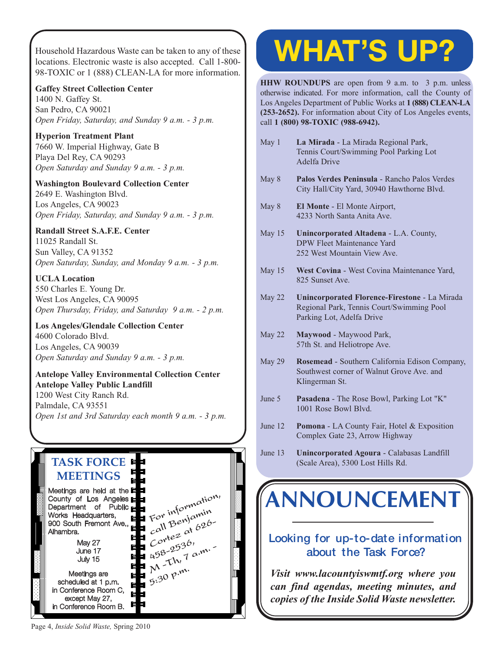Household Hazardous Waste can be taken to any of these locations. Electronic waste is also accepted. Call 1-800- 98-TOXIC or 1 (888) CLEAN-LA for more information.

**Gaffey Street Collection Center** 1400 N. Gaffey St. San Pedro, CA 90021 *Open Friday, Saturday, and Sunday 9 a.m. - 3 p.m.*

**Hyperion Treatment Plant** 7660 W. Imperial Highway, Gate B Playa Del Rey, CA 90293 *Open Saturday and Sunday 9 a.m. - 3 p.m.*

**Washington Boulevard Collection Center** 2649 E. Washington Blvd. Los Angeles, CA 90023 *Open Friday, Saturday, and Sunday 9 a.m. - 3 p.m.*

#### **Randall Street S.A.F.E. Center**

11025 Randall St. Sun Valley, CA 91352 *Open Saturday, Sunday, and Monday 9 a.m. - 3 p.m.*

**UCLA Location** 550 Charles E. Young Dr. West Los Angeles, CA 90095 *[Open Thursday, Friday, and Saturday 9 a.m. - 2 p.m.](http://www.lacitysan.org/solid_resources/special/hhw/safe_centers/index.htm)*

**Los Angeles/Glendale Collection Center** 4600 Colorado Blvd. Los Angeles, CA 90039 *Open Saturday and Sunday 9 a.m. - 3 p.m.*

**Antelope Valley Environmental Collection Center Antelope Valley Public Landfill** 1200 West City Ranch Rd. Palmdale, CA 93551 *[Open 1st and 3rd Saturday each month 9 a.m. - 3 p.m.](http://ladpw.org/epd/avecc/index.cfm)*

#### **TASK FORCE MEETINGS** Meetings are held at the County of Los Angeles For information, Department of Public For informin<br>call Benjamin Works Headquarters,  $\begin{array}{l}\n\text{call Be}^{\text{IV}} & 626 \\
\text{Cov}^{\text{te2}} & \text{at } 626\n\end{array}$ 900 South Fremont Ave., Alhambra. May 27  $66^{10}$ <br>458-2536,  $4^{10}$ June 17  $458 - 25$ <br>M - Th, 7 a.m. July 15 **5:30 p.m.** Meetings are scheduled at 1 p.m. in Conference Room C, F<br>H 目 except May 27,

며

# **WHAT'S UP?**

**HHW ROUNDUPS** are open from 9 a.m. to 3 p.m. unless otherwise indicated. For more information, call the County of Los Angeles Department of Public Works at **1 (888) CLEAN-LA (253-2652).** For information about City of Los Angeles events, call **1 (800) 98-TOXIC (988-6942).**

- May 1 **La Mirada** La Mirada Regional Park, Tennis Court/Swimming Pool Parking Lot Adelfa Drive
- May 8 **Palos Verdes Peninsula** Rancho Palos Verdes City Hall/City Yard, 30940 Hawthorne Blvd.
- May 8 **El Monte** El Monte Airport, 4233 North Santa Anita Ave.
- May 15 **Unincorporated Altadena** L.A. County, DPW Fleet Maintenance Yard 252 West Mountain View Ave.
- May 15 **West Covina** West Covina Maintenance Yard, 825 Sunset Ave.
- May 22 **Unincorporated Florence-Firestone** La Mirada Regional Park, Tennis Court/Swimming Pool Parking Lot, Adelfa Drive
- May 22 **Maywood** Maywood Park, 57th St. and Heliotrope Ave.
- May 29 **Rosemead** Southern California Edison Company, Southwest corner of Walnut Grove Ave. and Klingerman St.
- June 5 **Pasadena** The Rose Bowl, Parking Lot "K" 1001 Rose Bowl Blvd.
- June 12 **Pomona** LA County Fair, Hotel & Exposition Complex Gate 23, Arrow Highway
- June 13 **Unincorporated Agoura** Calabasas Landfill (Scale Area), 5300 Lost Hills Rd.

# **[ANNOUNCEMENT](http://dpw.lacounty.gov/epd/tf/)**

### **Looking for up-to-date information about the Task Force?**

*Visit www.lacountyiswmtf.org where you can find agendas, meeting minutes, and copies of the Inside Solid Waste newsletter.*

Page 4, *Inside Solid Waste,* Spring 2010

in Conference Room B.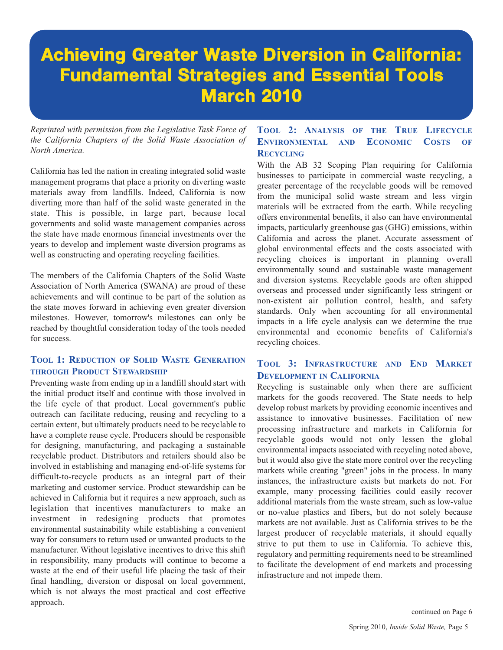# **[Achieving Greater Waste Diversion in California:](http://www.swana.org/) Fundamental Strategies and Essential Tools March 2010**

*Reprinted with permission from the Legislative Task Force of the California Chapters of the Solid Waste Association of North America.* 

California has led the nation in creating integrated solid waste management programs that place a priority on diverting waste materials away from landfills. Indeed, California is now diverting more than half of the solid waste generated in the state. This is possible, in large part, because local governments and solid waste management companies across the state have made enormous financial investments over the years to develop and implement waste diversion programs as well as constructing and operating recycling facilities.

The members of the California Chapters of the Solid Waste Association of North America (SWANA) are proud of these achievements and will continue to be part of the solution as the state moves forward in achieving even greater diversion milestones. However, tomorrow's milestones can only be reached by thoughtful consideration today of the tools needed for success.

#### **TOOL 1: REDUCTION OF SOLID WASTE GENERATION THROUGH PRODUCT STEWARDSHIP**

Preventing waste from ending up in a landfill should start with the initial product itself and continue with those involved in the life cycle of that product. Local government's public outreach can facilitate reducing, reusing and recycling to a certain extent, but ultimately products need to be recyclable to have a complete reuse cycle. Producers should be responsible for designing, manufacturing, and packaging a sustainable recyclable product. Distributors and retailers should also be involved in establishing and managing end-of-life systems for difficult-to-recycle products as an integral part of their marketing and customer service. Product stewardship can be achieved in California but it requires a new approach, such as legislation that incentives manufacturers to make an investment in redesigning products that promotes environmental sustainability while establishing a convenient way for consumers to return used or unwanted products to the manufacturer. Without legislative incentives to drive this shift in responsibility, many products will continue to become a waste at the end of their useful life placing the task of their final handling, diversion or disposal on local government, which is not always the most practical and cost effective approach.

#### **TOOL 2: ANALYSIS OF THE TRUE LIFECYCLE ENVIRONMENTAL AND ECONOMIC COSTS OF RECYCLING**

With the AB 32 Scoping Plan requiring for California businesses to participate in commercial waste recycling, a greater percentage of the recyclable goods will be removed from the municipal solid waste stream and less virgin materials will be extracted from the earth. While recycling offers environmental benefits, it also can have environmental impacts, particularly greenhouse gas (GHG) emissions, within California and across the planet. Accurate assessment of global environmental effects and the costs associated with recycling choices is important in planning overall environmentally sound and sustainable waste management and diversion systems. Recyclable goods are often shipped overseas and processed under significantly less stringent or non-existent air pollution control, health, and safety standards. Only when accounting for all environmental impacts in a life cycle analysis can we determine the true environmental and economic benefits of California's recycling choices.

#### **TOOL 3: INFRASTRUCTURE AND END MARKET DEVELOPMENT IN CALIFORNIA**

Recycling is sustainable only when there are sufficient markets for the goods recovered. The State needs to help develop robust markets by providing economic incentives and assistance to innovative businesses. Facilitation of new processing infrastructure and markets in California for recyclable goods would not only lessen the global environmental impacts associated with recycling noted above, but it would also give the state more control over the recycling markets while creating "green" jobs in the process. In many instances, the infrastructure exists but markets do not. For example, many processing facilities could easily recover additional materials from the waste stream, such as low-value or no-value plastics and fibers, but do not solely because markets are not available. Just as California strives to be the largest producer of recyclable materials, it should equally strive to put them to use in California. To achieve this, regulatory and permitting requirements need to be streamlined to facilitate the development of end markets and processing infrastructure and not impede them.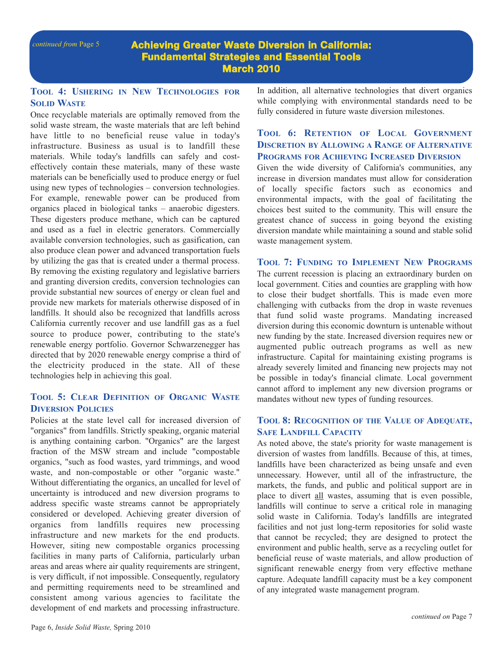**Achieving Greater Waste Diversion in California: Fundamental Strategies and Essential Tools March 2010**

#### **TOOL 4: USHERING IN NEW TECHNOLOGIES FOR SOLID WASTE**

Once recyclable materials are optimally removed from the solid waste stream, the waste materials that are left behind have little to no beneficial reuse value in today's infrastructure. Business as usual is to landfill these materials. While today's landfills can safely and costeffectively contain these materials, many of these waste materials can be beneficially used to produce energy or fuel using new types of technologies – conversion technologies. For example, renewable power can be produced from organics placed in biological tanks – anaerobic digesters. These digesters produce methane, which can be captured and used as a fuel in electric generators. Commercially available conversion technologies, such as gasification, can also produce clean power and advanced transportation fuels by utilizing the gas that is created under a thermal process. By removing the existing regulatory and legislative barriers and granting diversion credits, conversion technologies can provide substantial new sources of energy or clean fuel and provide new markets for materials otherwise disposed of in landfills. It should also be recognized that landfills across California currently recover and use landfill gas as a fuel source to produce power, contributing to the state's renewable energy portfolio. Governor Schwarzenegger has directed that by 2020 renewable energy comprise a third of the electricity produced in the state. All of these technologies help in achieving this goal.

#### **TOOL 5: CLEAR DEFINITION OF ORGANIC WASTE DIVERSION POLICIES**

Policies at the state level call for increased diversion of "organics" from landfills. Strictly speaking, organic material is anything containing carbon. "Organics" are the largest fraction of the MSW stream and include "compostable organics, "such as food wastes, yard trimmings, and wood waste, and non-compostable or other "organic waste." Without differentiating the organics, an uncalled for level of uncertainty is introduced and new diversion programs to address specific waste streams cannot be appropriately considered or developed. Achieving greater diversion of organics from landfills requires new processing infrastructure and new markets for the end products. However, siting new compostable organics processing facilities in many parts of California, particularly urban areas and areas where air quality requirements are stringent, is very difficult, if not impossible. Consequently, regulatory and permitting requirements need to be streamlined and consistent among various agencies to facilitate the development of end markets and processing infrastructure.

In addition, all alternative technologies that divert organics while complying with environmental standards need to be fully considered in future waste diversion milestones.

#### **TOOL 6: RETENTION OF LOCAL GOVERNMENT DISCRETION BY ALLOWING A RANGE OF ALTERNATIVE PROGRAMS FOR ACHIEVING INCREASED DIVERSION**

Given the wide diversity of California's communities, any increase in diversion mandates must allow for consideration of locally specific factors such as economics and environmental impacts, with the goal of facilitating the choices best suited to the community. This will ensure the greatest chance of success in going beyond the existing diversion mandate while maintaining a sound and stable solid waste management system.

#### **TOOL 7: FUNDING TO IMPLEMENT NEW PROGRAMS** The current recession is placing an extraordinary burden on

local government. Cities and counties are grappling with how to close their budget shortfalls. This is made even more challenging with cutbacks from the drop in waste revenues that fund solid waste programs. Mandating increased diversion during this economic downturn is untenable without new funding by the state. Increased diversion requires new or augmented public outreach programs as well as new infrastructure. Capital for maintaining existing programs is already severely limited and financing new projects may not be possible in today's financial climate. Local government cannot afford to implement any new diversion programs or mandates without new types of funding resources.

#### **TOOL 8: RECOGNITION OF THE VALUE OF ADEQUATE, SAFE LANDFILL CAPACITY**

As noted above, the state's priority for waste management is diversion of wastes from landfills. Because of this, at times, landfills have been characterized as being unsafe and even unnecessary. However, until all of the infrastructure, the markets, the funds, and public and political support are in place to divert all wastes, assuming that is even possible, landfills will continue to serve a critical role in managing solid waste in California. Today's landfills are integrated facilities and not just long-term repositories for solid waste that cannot be recycled; they are designed to protect the environment and public health, serve as a recycling outlet for beneficial reuse of waste materials, and allow production of significant renewable energy from very effective methane capture. Adequate landfill capacity must be a key component of any integrated waste management program.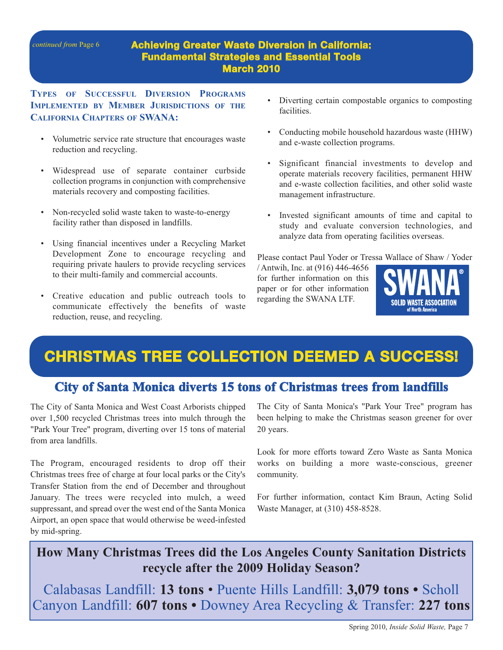#### **Achieving Greater Waste Diversion in California: Fundamental Strategies and Essential Tools March 2010**

**TYPES OF SUCCESSFUL DIVERSION PROGRAMS IMPLEMENTED BY MEMBER JURISDICTIONS OF THE CALIFORNIA CHAPTERS OF SWANA:** 

- Volumetric service rate structure that encourages waste reduction and recycling.
- Widespread use of separate container curbside collection programs in conjunction with comprehensive materials recovery and composting facilities.
- Non-recycled solid waste taken to waste-to-energy facility rather than disposed in landfills.
- Using financial incentives under a Recycling Market Development Zone to encourage recycling and requiring private haulers to provide recycling services to their multi-family and commercial accounts.
- Creative education and public outreach tools to communicate effectively the benefits of waste reduction, reuse, and recycling.
- Diverting certain compostable organics to composting facilities.
- Conducting mobile household hazardous waste (HHW) and e-waste collection programs.
- Significant financial investments to develop and operate materials recovery facilities, permanent HHW and e-waste collection facilities, and other solid waste management infrastructure.
- Invested significant amounts of time and capital to study and evaluate conversion technologies, and analyze data from operating facilities overseas.

Please contact Paul Yoder or Tre[ssa Wallace of Shaw / Yoder](http://www.swana.org/)

/ Antwih, Inc. at (916) 446-4656 for further information on this paper or for other information regarding the SWANA LTF.



# **[CHRISTMAS TREE COLLECTION DEEMED A SUCCESS!](http://www.smgov.net/)**

### **City of Santa Monica diverts 15 tons of Christmas trees from landfills**

The City of Santa Monica and West Coast Arborists chipped over 1,500 recycled Christmas trees into mulch through the "Park Your Tree" program, diverting over 15 tons of material from area landfills.

The Program, encouraged residents to drop off their Christmas trees free of charge at four local parks or the City's Transfer Station from the end of December and throughout January. The trees were recycled into mulch, a weed suppressant, and spread over the west end of the Santa Monica Airport, an open space that would otherwise be weed-infested by mid-spring.

The City of Santa Monica's "Park Your Tree" program has been helping to make the Christmas season greener for over 20 years.

Look for more efforts toward Zero Waste as Santa Monica works on building a more waste-conscious, greener community.

For further information, contact Kim Braun, Acting Solid Waste Manager, at (310) 458-8528.

## **[How Many Christmas Trees did the Los Angeles County Sanitation Districts](http://www.lacsd.org/)  recycle after the 2009 Holiday Season?**

Calabasas Landfill: **13 tons** • Puente Hills Landfill: **3,079 tons •** Scholl Canyon Landfill: **607 tons •** Downey Area Recycling & Transfer: **227 tons**